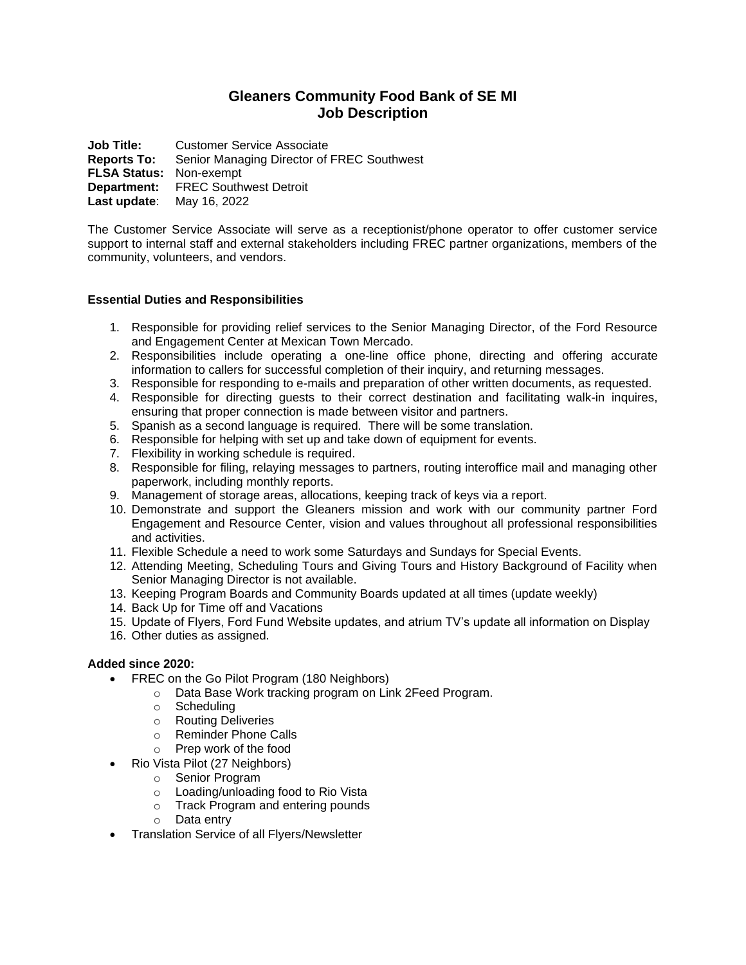# **Gleaners Community Food Bank of SE MI Job Description**

**Job Title:** Customer Service Associate **Reports To:** Senior Managing Director of FREC Southwest **FLSA Status:** Non-exempt **Department:** FREC Southwest Detroit **Last update**: May 16, 2022

The Customer Service Associate will serve as a receptionist/phone operator to offer customer service support to internal staff and external stakeholders including FREC partner organizations, members of the community, volunteers, and vendors.

# **Essential Duties and Responsibilities**

- 1. Responsible for providing relief services to the Senior Managing Director, of the Ford Resource and Engagement Center at Mexican Town Mercado.
- 2. Responsibilities include operating a one-line office phone, directing and offering accurate information to callers for successful completion of their inquiry, and returning messages.
- 3. Responsible for responding to e-mails and preparation of other written documents, as requested.
- 4. Responsible for directing guests to their correct destination and facilitating walk-in inquires, ensuring that proper connection is made between visitor and partners.
- 5. Spanish as a second language is required. There will be some translation.
- 6. Responsible for helping with set up and take down of equipment for events.
- 7. Flexibility in working schedule is required.
- 8. Responsible for filing, relaying messages to partners, routing interoffice mail and managing other paperwork, including monthly reports.
- 9. Management of storage areas, allocations, keeping track of keys via a report.
- 10. Demonstrate and support the Gleaners mission and work with our community partner Ford Engagement and Resource Center, vision and values throughout all professional responsibilities and activities.
- 11. Flexible Schedule a need to work some Saturdays and Sundays for Special Events.
- 12. Attending Meeting, Scheduling Tours and Giving Tours and History Background of Facility when Senior Managing Director is not available.
- 13. Keeping Program Boards and Community Boards updated at all times (update weekly)
- 14. Back Up for Time off and Vacations
- 15. Update of Flyers, Ford Fund Website updates, and atrium TV's update all information on Display
- 16. Other duties as assigned.

# **Added since 2020:**

- FREC on the Go Pilot Program (180 Neighbors)
	- o Data Base Work tracking program on Link 2Feed Program.
		- o Scheduling
		- o Routing Deliveries
		- o Reminder Phone Calls
		- o Prep work of the food
	- Rio Vista Pilot (27 Neighbors)
		- o Senior Program
		- o Loading/unloading food to Rio Vista
		- o Track Program and entering pounds
		- o Data entry
- Translation Service of all Flyers/Newsletter